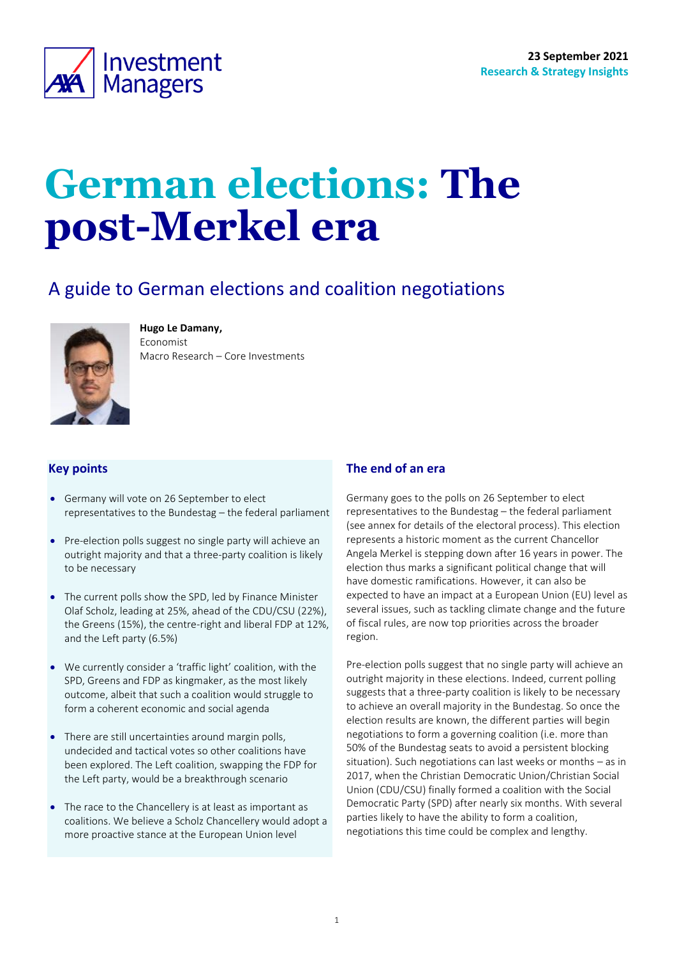

# **German elections: The post-Merkel era**

# A guide to German elections and coalition negotiations



**Hugo Le Damany,** 

Economist Macro Research – Core Investments

## **Key points**

- Germany will vote on 26 September to elect representatives to the Bundestag – the federal parliament
- Pre-election polls suggest no single party will achieve an outright majority and that a three-party coalition is likely to be necessary
- The current polls show the SPD, led by Finance Minister Olaf Scholz, leading at 25%, ahead of the CDU/CSU (22%), the Greens (15%), the centre-right and liberal FDP at 12%, and the Left party (6.5%)
- We currently consider a 'traffic light' coalition, with the SPD, Greens and FDP as kingmaker, as the most likely outcome, albeit that such a coalition would struggle to form a coherent economic and social agenda
- There are still uncertainties around margin polls, undecided and tactical votes so other coalitions have been explored. The Left coalition, swapping the FDP for the Left party, would be a breakthrough scenario
- The race to the Chancellery is at least as important as coalitions. We believe a Scholz Chancellery would adopt a more proactive stance at the European Union level

## <span id="page-0-0"></span>**The end of an era**

Germany goes to the polls on 26 September to elect representatives to the Bundestag – the federal parliament (see annex for details of the electoral process). This election represents a historic moment as the current Chancellor Angela Merkel is stepping down after 16 years in power. The election thus marks a significant political change that will have domestic ramifications. However, it can also be expected to have an impact at a European Union (EU) level as several issues, such as tackling climate change and the future of fiscal rules, are now top priorities across the broader region.

Pre-election polls suggest that no single party will achieve an outright majority in these elections. Indeed, current polling suggests that a three-party coalition is likely to be necessary to achieve an overall majority in the Bundestag. So once the election results are known, the different parties will begin negotiations to form a governing coalition (i.e. more than 50% of the Bundestag seats to avoid a persistent blocking situation). Such negotiations can last weeks or months – as in 2017, when the Christian Democratic Union/Christian Social Union (CDU/CSU) finally formed a coalition with the Social Democratic Party (SPD) after nearly six months. With several parties likely to have the ability to form a coalition, negotiations this time could be complex and lengthy.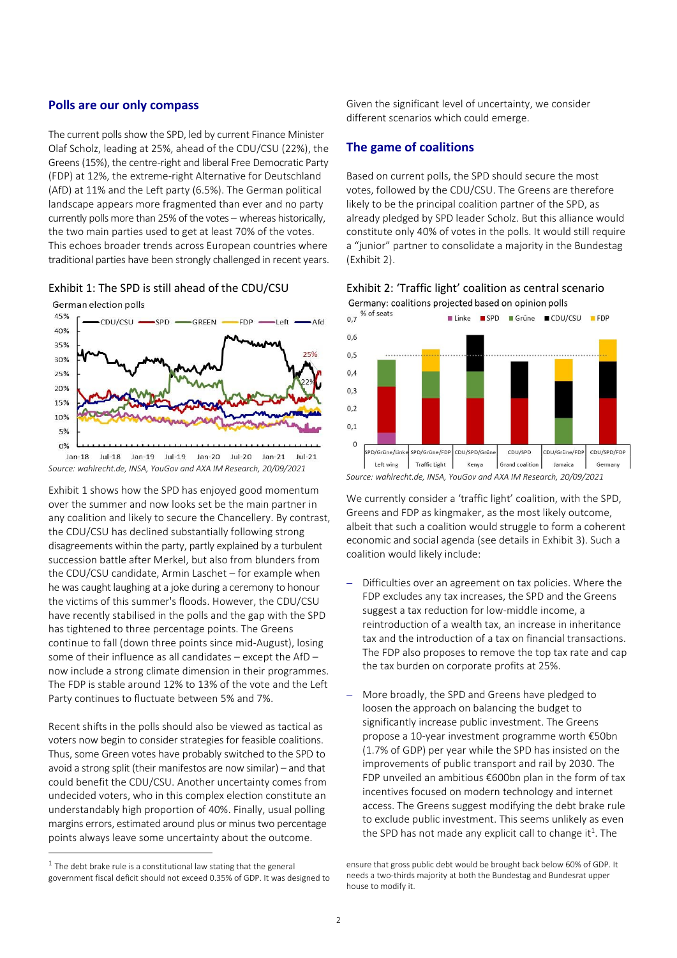#### **Polls are our only compass**

The current polls show the SPD, led by current Finance Minister Olaf Scholz, leading at 25%, ahead of the CDU/CSU (22%), the Greens (15%), the centre-right and liberal Free Democratic Party (FDP) at 12%, the extreme-right Alternative for Deutschland (AfD) at 11% and the Left party (6.5%). The German political landscape appears more fragmented than ever and no party currently polls more than 25% of the votes – whereas historically, the two main parties used to get at least 70% of the votes. This echoes broader trends across European countries where traditional parties have been strongly challenged in recent years.

#### <span id="page-1-0"></span>Exhibit 1: The SPD is still ahead of the CDU/CSU





*Source: wahlrecht.de, INSA, YouGov and AXA IM Research, 20/09/2021*

[Exhibit 1](#page-1-0) shows how the SPD has enjoyed good momentum over the summer and now looks set be the main partner in any coalition and likely to secure the Chancellery. By contrast, the CDU/CSU has declined substantially following strong disagreements within the party, partly explained by a turbulent succession battle after Merkel, but also from blunders from the CDU/CSU candidate, Armin Laschet – for example when he was caught laughing at a joke during a ceremony to honour the victims of this summer's floods. However, the CDU/CSU have recently stabilised in the polls and the gap with the SPD has tightened to three percentage points. The Greens continue to fall (down three points since mid-August), losing some of their influence as all candidates – except the AfD – now include a strong climate dimension in their programmes. The FDP is stable around 12% to 13% of the vote and the Left Party continues to fluctuate between 5% and 7%.

Recent shifts in the polls should also be viewed as tactical as voters now begin to consider strategies for feasible coalitions. Thus, some Green votes have probably switched to the SPD to avoid a strong split (their manifestos are now similar) – and that could benefit the CDU/CSU. Another uncertainty comes from undecided voters, who in this complex election constitute an understandably high proportion of 40%. Finally, usual polling margins errors, estimated around plus or minus two percentage points always leave some uncertainty about the outcome.

Given the significant level of uncertainty, we consider different scenarios which could emerge.

#### **The game of coalitions**

Based on current polls, the SPD should secure the most votes, followed by the CDU/CSU. The Greens are therefore likely to be the principal coalition partner of the SPD, as already pledged by SPD leader Scholz. But this alliance would constitute only 40% of votes in the polls. It would still require a "junior" partner to consolidate a majority in the Bundestag [\(Exhibit 2\)](#page-1-1).

<span id="page-1-1"></span>

Germany: coalitions projected based on opinion polls



We currently consider a 'traffic light' coalition, with the SPD, Greens and FDP as kingmaker, as the most likely outcome, albeit that such a coalition would struggle to form a coherent economic and social agenda (see details in [Exhibit 3\)](#page-4-0). Such a coalition would likely include:

- Difficulties over an agreement on tax policies. Where the FDP excludes any tax increases, the SPD and the Greens suggest a tax reduction for low-middle income, a reintroduction of a wealth tax, an increase in inheritance tax and the introduction of a tax on financial transactions. The FDP also proposes to remove the top tax rate and cap the tax burden on corporate profits at 25%.
- More broadly, the SPD and Greens have pledged to loosen the approach on balancing the budget to significantly increase public investment. The Greens propose a 10-year investment programme worth €50bn (1.7% of GDP) per year while the SPD has insisted on the improvements of public transport and rail by 2030. The FDP unveiled an ambitious €600bn plan in the form of tax incentives focused on modern technology and internet access. The Greens suggest modifying the debt brake rule to exclude public investment. This seems unlikely as even the SPD has not made any explicit call to change it<sup>1</sup>. The

 $1$  The debt brake rule is a constitutional law stating that the general government fiscal deficit should not exceed 0.35% of GDP. It was designed to

ensure that gross public debt would be brought back below 60% of GDP. It needs a two-thirds majority at both the Bundestag and Bundesrat upper house to modify it.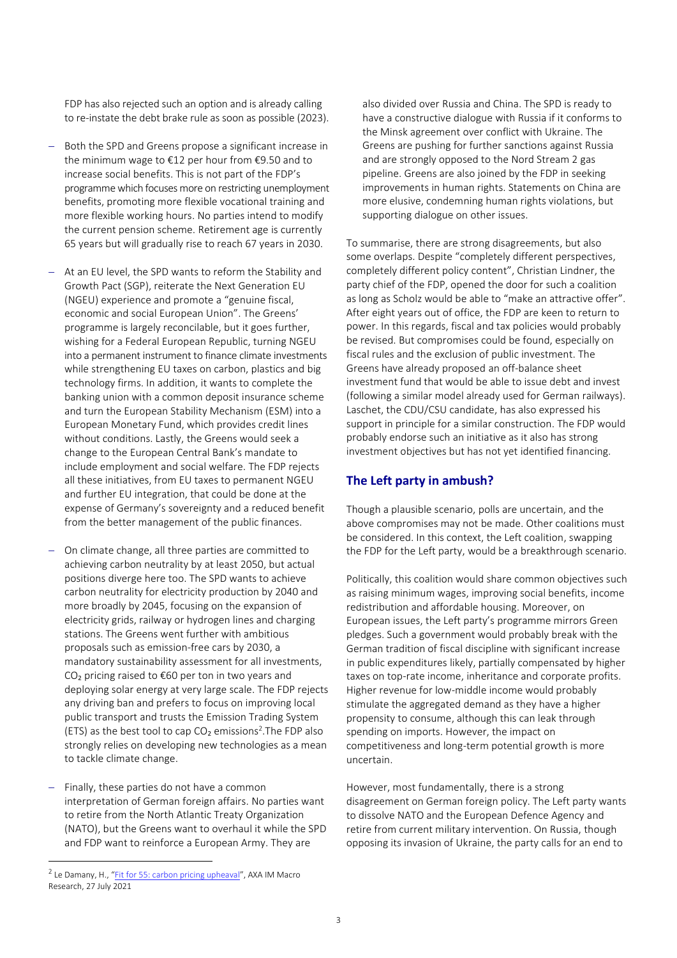FDP has also rejected such an option and is already calling to re-instate the debt brake rule as soon as possible (2023).

- Both the SPD and Greens propose a significant increase in the minimum wage to €12 per hour from €9.50 and to increase social benefits. This is not part of the FDP's programme which focuses more on restricting unemployment benefits, promoting more flexible vocational training and more flexible working hours. No parties intend to modify the current pension scheme. Retirement age is currently 65 years but will gradually rise to reach 67 years in 2030.
- At an EU level, the SPD wants to reform the Stability and Growth Pact (SGP), reiterate the Next Generation EU (NGEU) experience and promote a "genuine fiscal, economic and social European Union". The Greens' programme is largely reconcilable, but it goes further, wishing for a Federal European Republic, turning NGEU into a permanent instrument to finance climate investments while strengthening EU taxes on carbon, plastics and big technology firms. In addition, it wants to complete the banking union with a common deposit insurance scheme and turn the European Stability Mechanism (ESM) into a European Monetary Fund, which provides credit lines without conditions. Lastly, the Greens would seek a change to the European Central Bank's mandate to include employment and social welfare. The FDP rejects all these initiatives, from EU taxes to permanent NGEU and further EU integration, that could be done at the expense of Germany's sovereignty and a reduced benefit from the better management of the public finances.
- On climate change, all three parties are committed to achieving carbon neutrality by at least 2050, but actual positions diverge here too. The SPD wants to achieve carbon neutrality for electricity production by 2040 and more broadly by 2045, focusing on the expansion of electricity grids, railway or hydrogen lines and charging stations. The Greens went further with ambitious proposals such as emission-free cars by 2030, a mandatory sustainability assessment for all investments,  $CO<sub>2</sub>$  pricing raised to  $€60$  per ton in two years and deploying solar energy at very large scale. The FDP rejects any driving ban and prefers to focus on improving local public transport and trusts the Emission Trading System (ETS) as the best tool to cap  $CO<sub>2</sub>$  emissions<sup>2</sup>. The FDP also strongly relies on developing new technologies as a mean to tackle climate change.
- Finally, these parties do not have a common interpretation of German foreign affairs. No parties want to retire from the North Atlantic Treaty Organization (NATO), but the Greens want to overhaul it while the SPD and FDP want to reinforce a European Army. They are

also divided over Russia and China. The SPD is ready to have a constructive dialogue with Russia if it conforms to the Minsk agreement over conflict with Ukraine. The Greens are pushing for further sanctions against Russia and are strongly opposed to the Nord Stream 2 gas pipeline. Greens are also joined by the FDP in seeking improvements in human rights. Statements on China are more elusive, condemning human rights violations, but supporting dialogue on other issues.

To summarise, there are strong disagreements, but also some overlaps. Despite "completely different perspectives, completely different policy content", Christian Lindner, the party chief of the FDP, opened the door for such a coalition as long as Scholz would be able to "make an attractive offer". After eight years out of office, the FDP are keen to return to power. In this regards, fiscal and tax policies would probably be revised. But compromises could be found, especially on fiscal rules and the exclusion of public investment. The Greens have already proposed an off-balance sheet investment fund that would be able to issue debt and invest (following a similar model already used for German railways). Laschet, the CDU/CSU candidate, has also expressed his support in principle for a similar construction. The FDP would probably endorse such an initiative as it also has strong investment objectives but has not yet identified financing.

## **The Left party in ambush?**

Though a plausible scenario, polls are uncertain, and the above compromises may not be made. Other coalitions must be considered. In this context, the Left coalition, swapping the FDP for the Left party, would be a breakthrough scenario.

Politically, this coalition would share common objectives such as raising minimum wages, improving social benefits, income redistribution and affordable housing. Moreover, on European issues, the Left party's programme mirrors Green pledges. Such a government would probably break with the German tradition of fiscal discipline with significant increase in public expenditures likely, partially compensated by higher taxes on top-rate income, inheritance and corporate profits. Higher revenue for low-middle income would probably stimulate the aggregated demand as they have a higher propensity to consume, although this can leak through spending on imports. However, the impact on competitiveness and long-term potential growth is more uncertain.

However, most fundamentally, there is a strong disagreement on German foreign policy. The Left party wants to dissolve NATO and the European Defence Agency and retire from current military intervention. On Russia, though opposing its invasion of Ukraine, the party calls for an end to

<sup>&</sup>lt;sup>2</sup> Le Damany, H., "<u>[Fit for 55: carbon pricing upheaval](https://www.axa-im.com/insights/economic-insights/macro-investment-insights/fit-55-carbon-pricing-upheaval)</u>", AXA IM Macro Research, 27 July 2021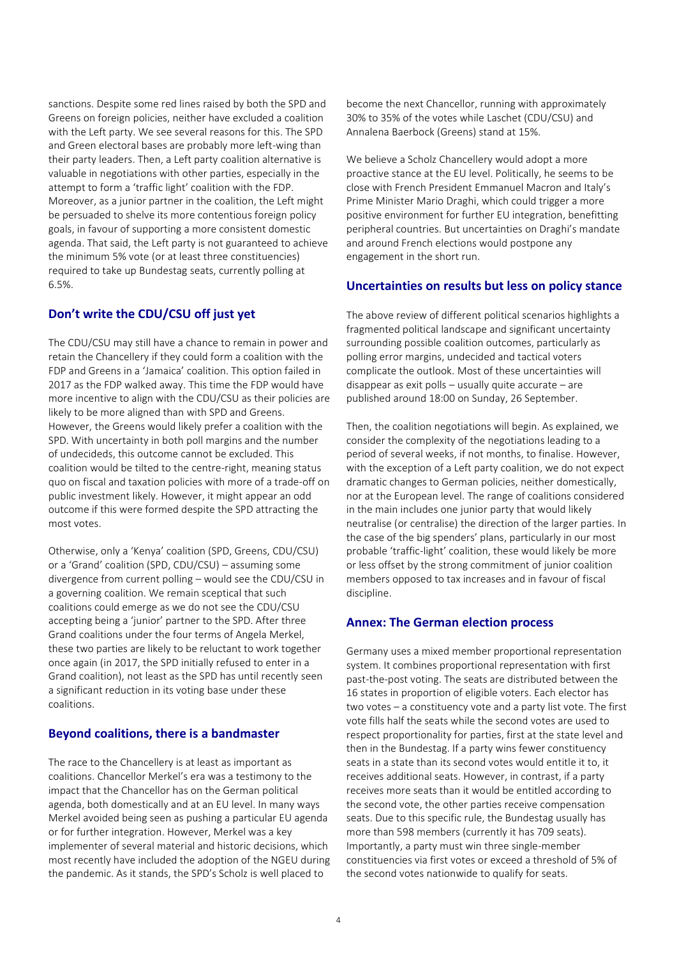sanctions. Despite some red lines raised by both the SPD and Greens on foreign policies, neither have excluded a coalition with the Left party. We see several reasons for this. The SPD and Green electoral bases are probably more left-wing than their party leaders. Then, a Left party coalition alternative is valuable in negotiations with other parties, especially in the attempt to form a 'traffic light' coalition with the FDP. Moreover, as a junior partner in the coalition, the Left might be persuaded to shelve its more contentious foreign policy goals, in favour of supporting a more consistent domestic agenda. That said, the Left party is not guaranteed to achieve the minimum 5% vote (or at least three constituencies) required to take up Bundestag seats, currently polling at 6.5%.

#### **Don't write the CDU/CSU off just yet**

The CDU/CSU may still have a chance to remain in power and retain the Chancellery if they could form a coalition with the FDP and Greens in a 'Jamaica' coalition. This option failed in 2017 as the FDP walked away. This time the FDP would have more incentive to align with the CDU/CSU as their policies are likely to be more aligned than with SPD and Greens. However, the Greens would likely prefer a coalition with the SPD. With uncertainty in both poll margins and the number of undecideds, this outcome cannot be excluded. This coalition would be tilted to the centre-right, meaning status quo on fiscal and taxation policies with more of a trade-off on public investment likely. However, it might appear an odd outcome if this were formed despite the SPD attracting the most votes.

Otherwise, only a 'Kenya' coalition (SPD, Greens, CDU/CSU) or a 'Grand' coalition (SPD, CDU/CSU) – assuming some divergence from current polling – would see the CDU/CSU in a governing coalition. We remain sceptical that such coalitions could emerge as we do not see the CDU/CSU accepting being a 'junior' partner to the SPD. After three Grand coalitions under the four terms of Angela Merkel, these two parties are likely to be reluctant to work together once again (in 2017, the SPD initially refused to enter in a Grand coalition), not least as the SPD has until recently seen a significant reduction in its voting base under these coalitions.

#### **Beyond coalitions, there is a bandmaster**

The race to the Chancellery is at least as important as coalitions. Chancellor Merkel's era was a testimony to the impact that the Chancellor has on the German political agenda, both domestically and at an EU level. In many ways Merkel avoided being seen as pushing a particular EU agenda or for further integration. However, Merkel was a key implementer of several material and historic decisions, which most recently have included the adoption of the NGEU during the pandemic. As it stands, the SPD's Scholz is well placed to

become the next Chancellor, running with approximately 30% to 35% of the votes while Laschet (CDU/CSU) and Annalena Baerbock (Greens) stand at 15%.

We believe a Scholz Chancellery would adopt a more proactive stance at the EU level. Politically, he seems to be close with French President Emmanuel Macron and Italy's Prime Minister Mario Draghi, which could trigger a more positive environment for further EU integration, benefitting peripheral countries. But uncertainties on Draghi's mandate and around French elections would postpone any engagement in the short run.

#### **Uncertainties on results but less on policy stance**

The above review of different political scenarios highlights a fragmented political landscape and significant uncertainty surrounding possible coalition outcomes, particularly as polling error margins, undecided and tactical voters complicate the outlook. Most of these uncertainties will disappear as exit polls – usually quite accurate – are published around 18:00 on Sunday, 26 September.

Then, the coalition negotiations will begin. As explained, we consider the complexity of the negotiations leading to a period of several weeks, if not months, to finalise. However, with the exception of a Left party coalition, we do not expect dramatic changes to German policies, neither domestically, nor at the European level. The range of coalitions considered in the main includes one junior party that would likely neutralise (or centralise) the direction of the larger parties. In the case of the big spenders' plans, particularly in our most probable 'traffic-light' coalition, these would likely be more or less offset by the strong commitment of junior coalition members opposed to tax increases and in favour of fiscal discipline.

#### **Annex: The German election process**

Germany uses a mixed member proportional representation system. It combines proportional representation with first past-the-post voting. The seats are distributed between the 16 states in proportion of eligible voters. Each elector has two votes – a constituency vote and a party list vote. The first vote fills half the seats while the second votes are used to respect proportionality for parties, first at the state level and then in the Bundestag. If a party wins fewer constituency seats in a state than its second votes would entitle it to, it receives additional seats. However, in contrast, if a party receives more seats than it would be entitled according to the second vote, the other parties receive compensation seats. Due to this specific rule, the Bundestag usually has more than 598 members (currently it has 709 seats). Importantly, a party must win three single-member constituencies via first votes or exceed a threshold of 5% of the second votes nationwide to qualify for seats.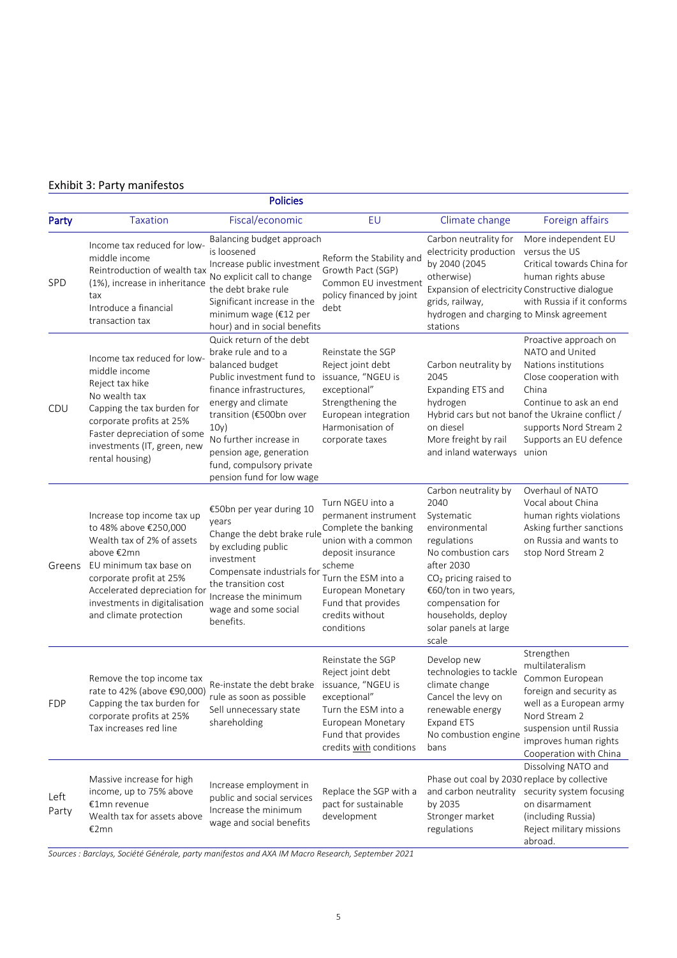# <span id="page-4-0"></span>Exhibit 3: Party manifestos

| <b>Policies</b> |                                                                                                                                                                                                                                                 |                                                                                                                                                                                                                                                                                                    |                                                                                                                                                                                                                           |                                                                                                                                                                                                                                                          |                                                                                                                                                                                                                                       |
|-----------------|-------------------------------------------------------------------------------------------------------------------------------------------------------------------------------------------------------------------------------------------------|----------------------------------------------------------------------------------------------------------------------------------------------------------------------------------------------------------------------------------------------------------------------------------------------------|---------------------------------------------------------------------------------------------------------------------------------------------------------------------------------------------------------------------------|----------------------------------------------------------------------------------------------------------------------------------------------------------------------------------------------------------------------------------------------------------|---------------------------------------------------------------------------------------------------------------------------------------------------------------------------------------------------------------------------------------|
| Party           | <b>Taxation</b>                                                                                                                                                                                                                                 | Fiscal/economic                                                                                                                                                                                                                                                                                    | EU                                                                                                                                                                                                                        | Climate change                                                                                                                                                                                                                                           | Foreign affairs                                                                                                                                                                                                                       |
| SPD             | Income tax reduced for low-<br>middle income<br>Reintroduction of wealth tax<br>(1%), increase in inheritance<br>tax<br>Introduce a financial<br>transaction tax                                                                                | Balancing budget approach<br>is loosened<br>Increase public investment<br>No explicit call to change<br>the debt brake rule<br>Significant increase in the<br>minimum wage (€12 per<br>hour) and in social benefits                                                                                | Reform the Stability and<br>Growth Pact (SGP)<br>Common EU investment<br>policy financed by joint<br>debt                                                                                                                 | Carbon neutrality for<br>electricity production<br>by 2040 (2045<br>otherwise)<br>Expansion of electricity Constructive dialogue<br>grids, railway,<br>hydrogen and charging to Minsk agreement<br>stations                                              | More independent EU<br>versus the US<br>Critical towards China for<br>human rights abuse<br>with Russia if it conforms                                                                                                                |
| CDU             | Income tax reduced for low-<br>middle income<br>Reject tax hike<br>No wealth tax<br>Capping the tax burden for<br>corporate profits at 25%<br>Faster depreciation of some<br>investments (IT, green, new<br>rental housing)                     | Quick return of the debt<br>brake rule and to a<br>balanced budget<br>Public investment fund to<br>finance infrastructures,<br>energy and climate<br>transition (€500bn over<br>10y)<br>No further increase in<br>pension age, generation<br>fund, compulsory private<br>pension fund for low wage | Reinstate the SGP<br>Reject joint debt<br>issuance, "NGEU is<br>exceptional"<br>Strengthening the<br>European integration<br>Harmonisation of<br>corporate taxes                                                          | Carbon neutrality by<br>2045<br>Expanding ETS and<br>hydrogen<br>on diesel<br>More freight by rail<br>and inland waterways union                                                                                                                         | Proactive approach on<br>NATO and United<br>Nations institutions<br>Close cooperation with<br>China<br>Continue to ask an end<br>Hybrid cars but not banof the Ukraine conflict /<br>supports Nord Stream 2<br>Supports an EU defence |
| Greens          | Increase top income tax up<br>to 48% above €250,000<br>Wealth tax of 2% of assets<br>above €2mn<br>EU minimum tax base on<br>corporate profit at 25%<br>Accelerated depreciation for<br>investments in digitalisation<br>and climate protection | €50bn per year during 10<br>years<br>Change the debt brake rule<br>by excluding public<br>investment<br>Compensate industrials for<br>the transition cost<br>Increase the minimum<br>wage and some social<br>benefits.                                                                             | Turn NGEU into a<br>permanent instrument<br>Complete the banking<br>union with a common<br>deposit insurance<br>scheme<br>Turn the ESM into a<br>European Monetary<br>Fund that provides<br>credits without<br>conditions | Carbon neutrality by<br>2040<br>Systematic<br>environmental<br>regulations<br>No combustion cars<br>after 2030<br>CO <sub>2</sub> pricing raised to<br>€60/ton in two years,<br>compensation for<br>households, deploy<br>solar panels at large<br>scale | Overhaul of NATO<br>Vocal about China<br>human rights violations<br>Asking further sanctions<br>on Russia and wants to<br>stop Nord Stream 2                                                                                          |
| FDP             | Remove the top income tax<br>rate to 42% (above €90,000)<br>Capping the tax burden for<br>corporate profits at 25%<br>Tax increases red line                                                                                                    | Re-instate the debt brake<br>rule as soon as possible<br>Sell unnecessary state<br>shareholding                                                                                                                                                                                                    | Reinstate the SGP<br>Reject joint debt<br>issuance, "NGEU is<br>exceptional"<br>Turn the ESM into a<br>European Monetary<br>Fund that provides<br>credits with conditions                                                 | Develop new<br>technologies to tackle<br>climate change<br>Cancel the levy on<br>renewable energy<br><b>Expand ETS</b><br>No combustion engine<br>bans                                                                                                   | Strengthen<br>multilateralism<br>Common European<br>foreign and security as<br>well as a European army<br>Nord Stream 2<br>suspension until Russia<br>improves human rights<br>Cooperation with China                                 |
| Left<br>Party   | Massive increase for high<br>income, up to 75% above<br>€1mn revenue<br>Wealth tax for assets above<br>€2mn                                                                                                                                     | Increase employment in<br>public and social services<br>Increase the minimum<br>wage and social benefits                                                                                                                                                                                           | Replace the SGP with a<br>pact for sustainable<br>development                                                                                                                                                             | Phase out coal by 2030 replace by collective<br>and carbon neutrality<br>by 2035<br>Stronger market<br>regulations                                                                                                                                       | Dissolving NATO and<br>security system focusing<br>on disarmament<br>(including Russia)<br>Reject military missions<br>abroad.                                                                                                        |

*Sources : Barclays, Société Générale, party manifestos and AXA IM Macro Research, September 2021*